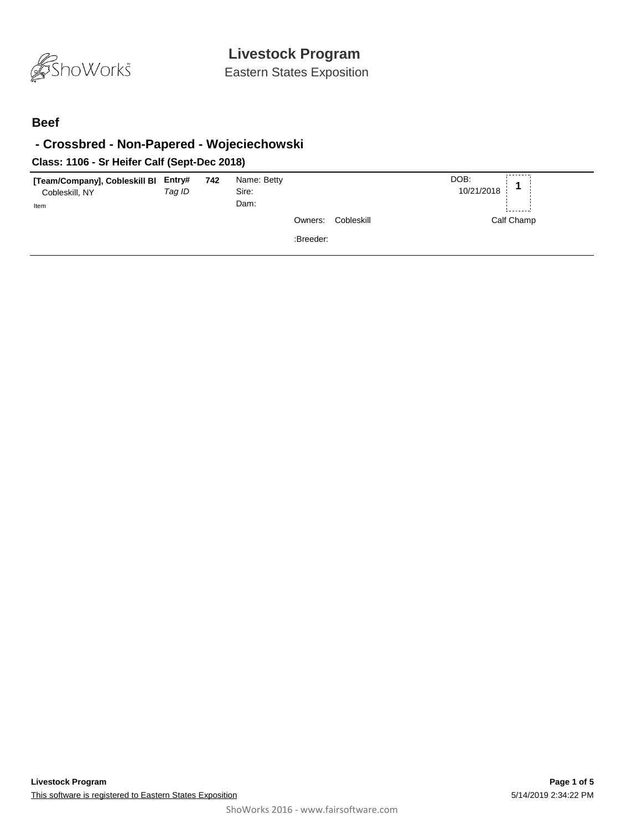

Eastern States Exposition

#### **Beef**

## **- Crossbred - Non-Papered - Wojeciechowski**

### **Class: 1106 - Sr Heifer Calf (Sept-Dec 2018)**

| [Team/Company], Cobleskill Bl<br>Cobleskill, NY | Entry#<br>Tag ID | 742 | Name: Betty<br>Sire: |                       | DOB:<br>10/21/2018 |
|-------------------------------------------------|------------------|-----|----------------------|-----------------------|--------------------|
| Item                                            |                  |     | Dam:                 |                       | --------           |
|                                                 |                  |     |                      | Cobleskill<br>Owners: | Calf Champ         |
|                                                 |                  |     |                      | :Breeder:             |                    |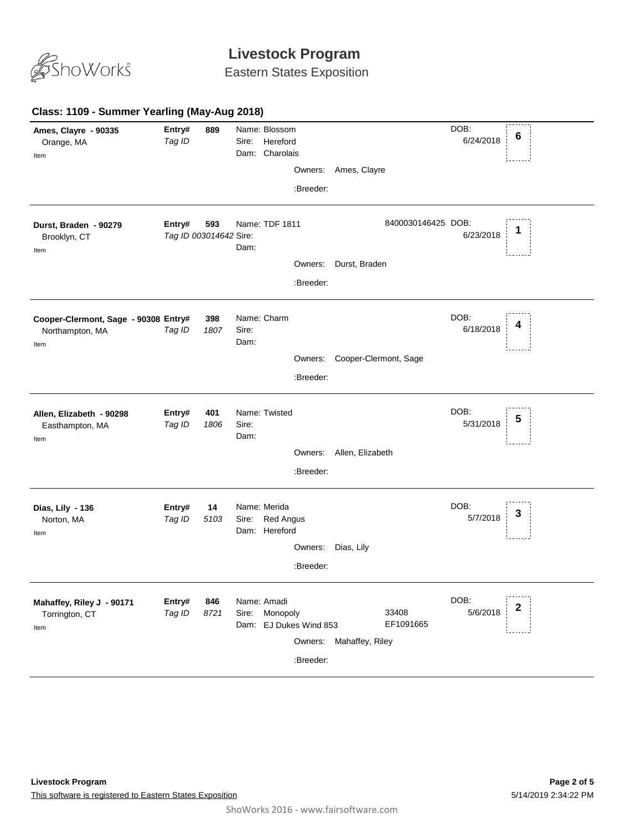

Eastern States Exposition

#### **Class: 1109 - Summer Yearling (May-Aug 2018) 889** *Tag ID* Name: Blossom Sire: Hereford DOB: 6/24/2018 Dam: Charolais **Ames, Clayre - 90335** Orange, MA **Entry# <sup>6</sup>** Item Owners: Ames, Clayre :Breeder: **593 Entry# 593** Name: TDF 1811 8400030146425 DOB:<br>*Tag ID 003014642 S*ire: 6/23/2018 **1** Name: TDF 1811 8400030146425 DOB: 6/23/2018 Dam: **Durst, Braden - 90279 8400 Entry#** Brooklyn, CT Item Owners: Durst, Braden :Breeder: **398** *Tag ID* Name: Charm Sire: DOB: 6/18/2018 Dam: **Cooper-Clermont, Sage - 90308** Northampton, MA **Entry# <sup>4</sup>** Item Owners: Cooper-Clermont, Sage :Breeder: **401** *Tag ID 1806* Name: Twisted Sire: DOB: 5/31/2018 Dam: **Allen, Elizabeth - 90298** Easthampton, MA **Entry# <sup>5</sup>** Item Owners: Allen, Elizabeth :Breeder: **14** *Tag ID 5103* Name: Merida Sire: Red Angus DOB: 5/7/2018 Dam: Hereford **Dias, Lily - 136** Norton, MA **Entry# 14** Name: Merida DOB: **3**<br>Teg ID 5103 Sire: Bed Angue Item Owners: Dias, Lily :Breeder: **846** *Tag ID 8721* Name: Amadi Sire: Monopoly DOB: 5/6/2018 Dam: EJ Dukes Wind 853 33408 EF1091665 **Mahaffey, Riley J - 90171** Torrington, CT **Entry# <sup>2</sup>** Item Owners: Mahaffey, Riley :Breeder: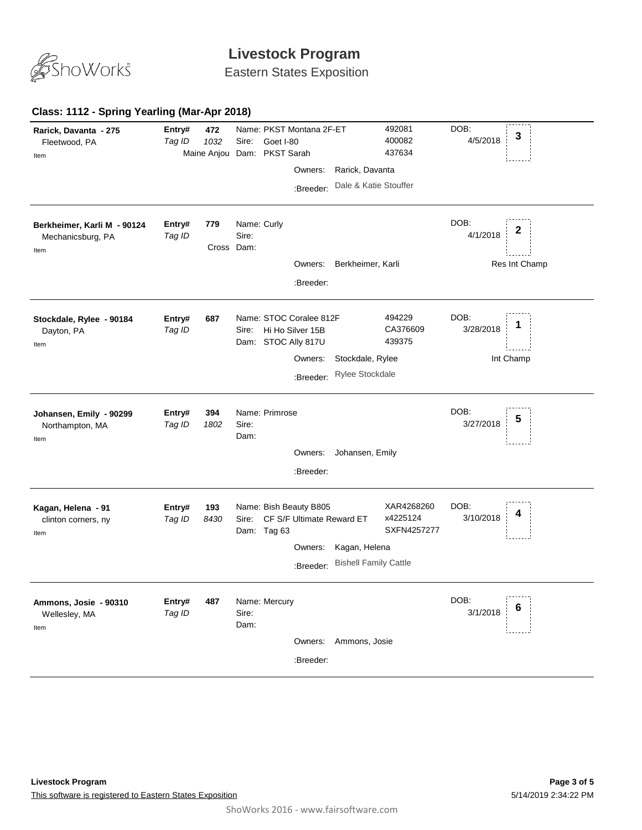

Eastern States Exposition

#### **Class: 1112 - Spring Yearling (Mar-Apr 2018)**

| Rarick, Davanta - 275<br>Fleetwood, PA<br>Item           | Entry#<br>Tag ID | 472<br>1032 | Sire:                              | Name: PKST Montana 2F-ET<br>Goet I-80<br>Maine Anjou Dam: PKST Sarah<br>Owners:<br>:Breeder: | Rarick, Davanta<br>Dale & Katie Stouffer      | 492081<br>400082<br>437634            | DOB:<br>4/5/2018  | 3                  |
|----------------------------------------------------------|------------------|-------------|------------------------------------|----------------------------------------------------------------------------------------------|-----------------------------------------------|---------------------------------------|-------------------|--------------------|
| Berkheimer, Karli M - 90124<br>Mechanicsburg, PA<br>Item | Entry#<br>Tag ID | 779         | Name: Curly<br>Sire:<br>Cross Dam: | Owners:<br>:Breeder:                                                                         | Berkheimer, Karli                             |                                       | DOB:<br>4/1/2018  | 2<br>Res Int Champ |
| Stockdale, Rylee - 90184<br>Dayton, PA<br>Item           | Entry#<br>Tag ID | 687         | Sire:                              | Name: STOC Coralee 812F<br>Hi Ho Silver 15B<br>Dam: STOC Ally 817U<br>Owners:<br>:Breeder:   | Stockdale, Rylee<br>Rylee Stockdale           | 494229<br>CA376609<br>439375          | DOB:<br>3/28/2018 | 1<br>Int Champ     |
| Johansen, Emily - 90299<br>Northampton, MA<br>Item       | Entry#<br>Tag ID | 394<br>1802 | Sire:<br>Dam:                      | Name: Primrose<br>Owners:<br>:Breeder:                                                       | Johansen, Emily                               |                                       | DOB:<br>3/27/2018 | 5                  |
| Kagan, Helena - 91<br>clinton corners, ny<br>Item        | Entry#<br>Tag ID | 193<br>8430 | Sire:<br>Dam: Tag 63               | Name: Bish Beauty B805<br>CF S/F Ultimate Reward ET<br>Owners:<br>:Breeder:                  | Kagan, Helena<br><b>Bishell Family Cattle</b> | XAR4268260<br>x4225124<br>SXFN4257277 | DOB:<br>3/10/2018 |                    |
| Ammons, Josie - 90310<br>Wellesley, MA<br>Item           | Entry#<br>Tag ID | 487         | Name: Mercury<br>Sire:<br>Dam:     | Owners:<br>:Breeder:                                                                         | Ammons, Josie                                 |                                       | DOB:<br>3/1/2018  | 6                  |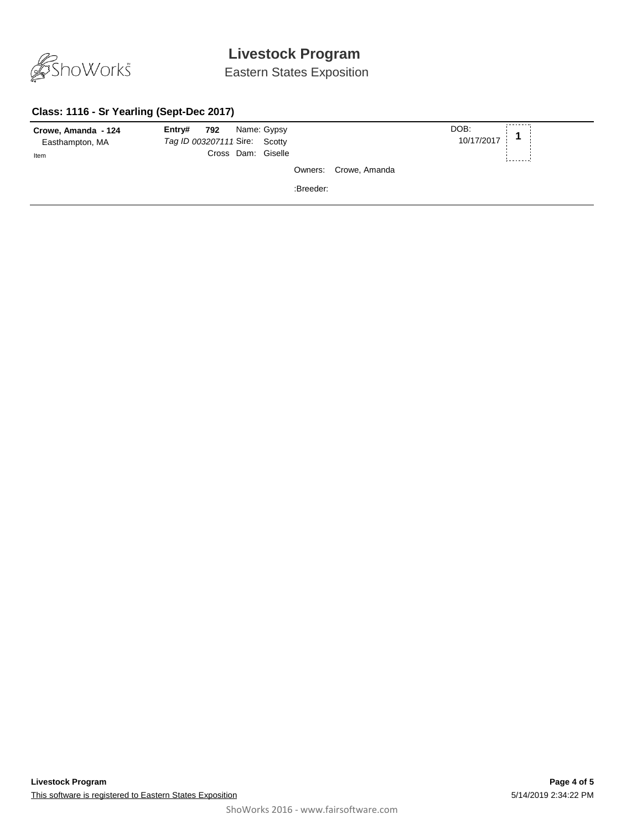

Eastern States Exposition

### **Class: 1116 - Sr Yearling (Sept-Dec 2017)**

| Crowe, Amanda - 124<br>Easthampton, MA | Entry# 792<br>Tag ID 003207111 Sire: Scotty | Name: Gypsy |           |                       | DOB:<br>10/17/2017 |           |
|----------------------------------------|---------------------------------------------|-------------|-----------|-----------------------|--------------------|-----------|
| Item                                   | Cross Dam: Giselle                          |             |           |                       |                    | --------- |
|                                        |                                             |             |           | Owners: Crowe, Amanda |                    |           |
|                                        |                                             |             | :Breeder: |                       |                    |           |